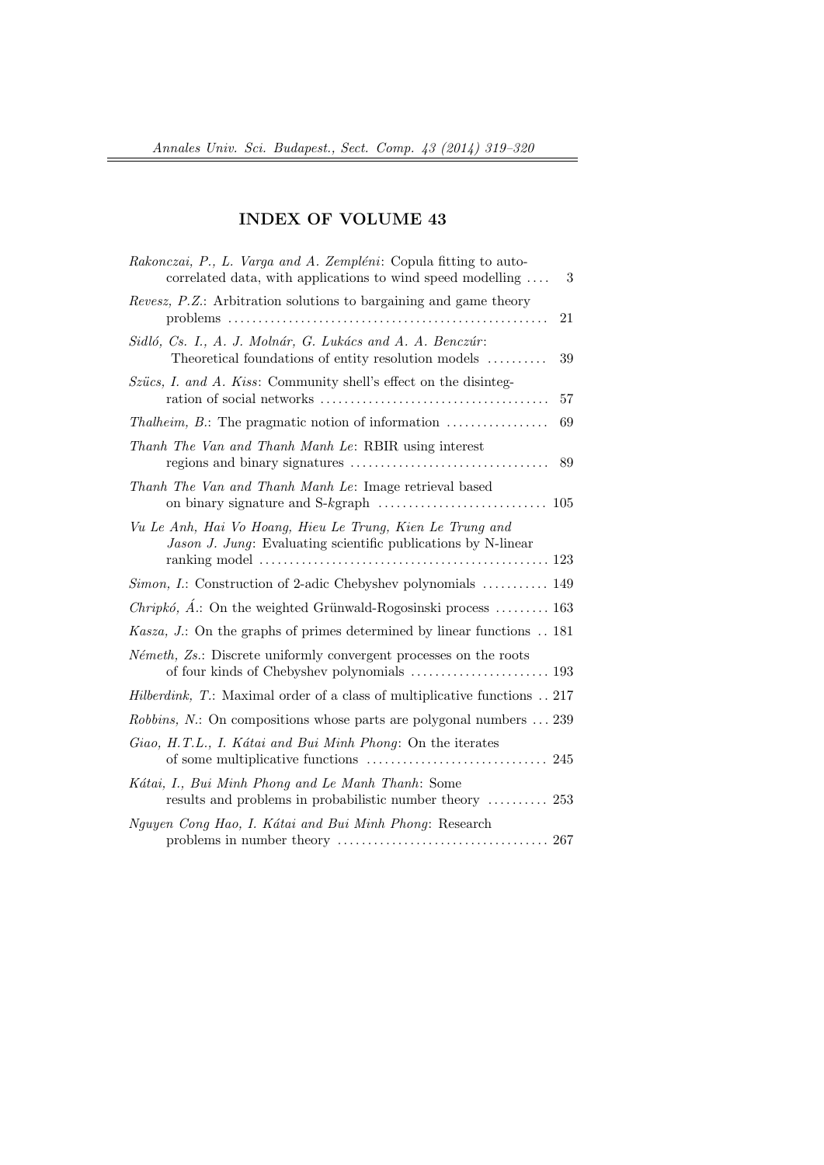## INDEX OF VOLUME 43

| Rakonczai, P., L. Varga and A. Zempléni: Copula fitting to auto-<br>correlated data, with applications to wind speed modelling<br>3                |
|----------------------------------------------------------------------------------------------------------------------------------------------------|
| <i>Revesz, P.Z.</i> : Arbitration solutions to bargaining and game theory<br>21                                                                    |
| Sidló, Cs. I., A. J. Molnár, G. Lukács and A. A. Benczúr:<br>Theoretical foundations of entity resolution models<br>39                             |
| Szücs, I. and A. Kiss: Community shell's effect on the disinteg-<br>57                                                                             |
| <i>Thalheim, B.</i> : The pragmatic notion of information<br>69                                                                                    |
| Thanh The Van and Thanh Manh Le: RBIR using interest<br>89                                                                                         |
| Thanh The Van and Thanh Manh Le: Image retrieval based                                                                                             |
| Vu Le Anh, Hai Vo Hoang, Hieu Le Trung, Kien Le Trung and<br>Jason J. Jung: Evaluating scientific publications by N-linear                         |
| <i>Simon, I.</i> : Construction of 2-adic Chebyshev polynomials  149                                                                               |
| <i>Chripkó</i> , $\acute{A}$ .: On the weighted Grünwald-Rogosinski process  163                                                                   |
| <i>Kasza</i> , <i>J.</i> : On the graphs of primes determined by linear functions . 181                                                            |
| <i>Németh</i> , Zs.: Discrete uniformly convergent processes on the roots                                                                          |
| <i>Hilberdink</i> , T: Maximal order of a class of multiplicative functions . 217                                                                  |
| Robbins, N.: On compositions whose parts are polygonal numbers  239                                                                                |
| Giao, H.T.L., I. Kátai and Bui Minh Phong: On the iterates                                                                                         |
| Kátai, I., Bui Minh Phong and Le Manh Thanh: Some<br>results and problems in probabilistic number theory  253                                      |
| Nguyen Cong Hao, I. Kátai and Bui Minh Phong: Research<br>problems in number theory $\dots\dots\dots\dots\dots\dots\dots\dots\dots\dots\dots\dots$ |